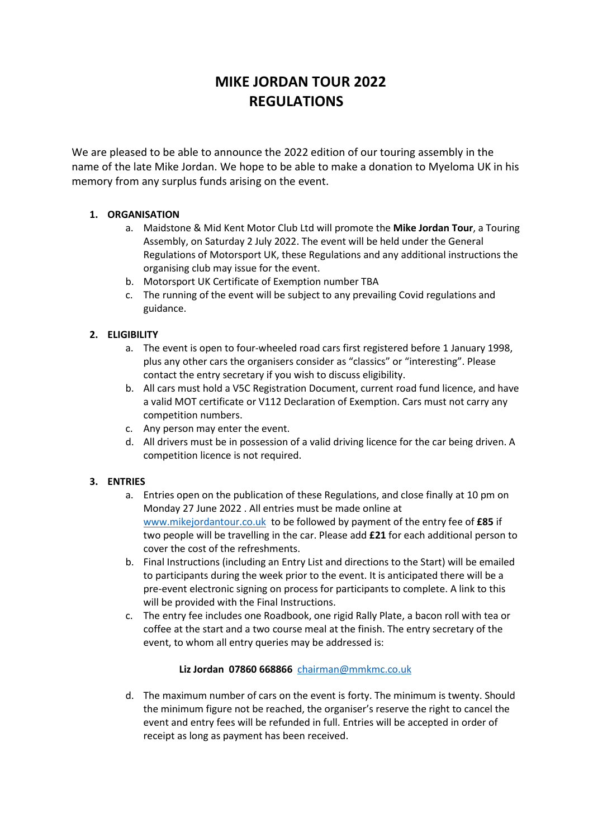# **MIKE JORDAN TOUR 2022 REGULATIONS**

We are pleased to be able to announce the 2022 edition of our touring assembly in the name of the late Mike Jordan. We hope to be able to make a donation to Myeloma UK in his memory from any surplus funds arising on the event.

# **1. ORGANISATION**

- a. Maidstone & Mid Kent Motor Club Ltd will promote the **Mike Jordan Tour**, a Touring Assembly, on Saturday 2 July 2022. The event will be held under the General Regulations of Motorsport UK, these Regulations and any additional instructions the organising club may issue for the event.
- b. Motorsport UK Certificate of Exemption number TBA
- c. The running of the event will be subject to any prevailing Covid regulations and guidance.

## **2. ELIGIBILITY**

- a. The event is open to four-wheeled road cars first registered before 1 January 1998, plus any other cars the organisers consider as "classics" or "interesting". Please contact the entry secretary if you wish to discuss eligibility.
- b. All cars must hold a V5C Registration Document, current road fund licence, and have a valid MOT certificate or V112 Declaration of Exemption. Cars must not carry any competition numbers.
- c. Any person may enter the event.
- d. All drivers must be in possession of a valid driving licence for the car being driven. A competition licence is not required.

## **3. ENTRIES**

- a. Entries open on the publication of these Regulations, and close finally at 10 pm on Monday 27 June 2022 . All entries must be made online at [www.mikejordantour.co.uk](http://www.mikejordantour.co.uk/) to be followed by payment of the entry fee of **£85** if two people will be travelling in the car. Please add **£21** for each additional person to cover the cost of the refreshments.
- b. Final Instructions (including an Entry List and directions to the Start) will be emailed to participants during the week prior to the event. It is anticipated there will be a pre-event electronic signing on process for participants to complete. A link to this will be provided with the Final Instructions.
- c. The entry fee includes one Roadbook, one rigid Rally Plate, a bacon roll with tea or coffee at the start and a two course meal at the finish. The entry secretary of the event, to whom all entry queries may be addressed is:

## **Liz Jordan 07860 668866** [chairman@mmkmc.co.uk](mailto:chairman@mmkmc.co.uk)

d. The maximum number of cars on the event is forty. The minimum is twenty. Should the minimum figure not be reached, the organiser's reserve the right to cancel the event and entry fees will be refunded in full. Entries will be accepted in order of receipt as long as payment has been received.